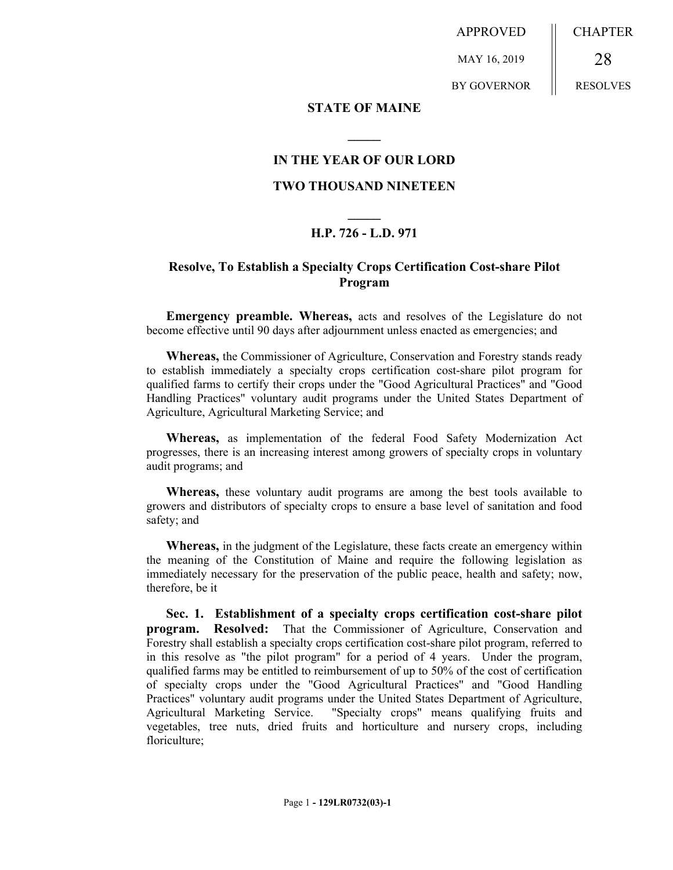APPROVED

MAY 16, 2019

BY GOVERNOR

CHAPTER

RESOLVES

28

#### **STATE OF MAINE**

## **IN THE YEAR OF OUR LORD**

**\_\_\_\_\_**

### **TWO THOUSAND NINETEEN**

# **\_\_\_\_\_ H.P. 726 - L.D. 971**

## **Resolve, To Establish a Specialty Crops Certification Cost-share Pilot Program**

**Emergency preamble. Whereas,** acts and resolves of the Legislature do not become effective until 90 days after adjournment unless enacted as emergencies; and

**Whereas,** the Commissioner of Agriculture, Conservation and Forestry stands ready to establish immediately a specialty crops certification cost-share pilot program for qualified farms to certify their crops under the "Good Agricultural Practices" and "Good Handling Practices" voluntary audit programs under the United States Department of Agriculture, Agricultural Marketing Service; and

**Whereas,** as implementation of the federal Food Safety Modernization Act progresses, there is an increasing interest among growers of specialty crops in voluntary audit programs; and

**Whereas,** these voluntary audit programs are among the best tools available to growers and distributors of specialty crops to ensure a base level of sanitation and food safety; and

**Whereas,** in the judgment of the Legislature, these facts create an emergency within the meaning of the Constitution of Maine and require the following legislation as immediately necessary for the preservation of the public peace, health and safety; now, therefore, be it

**Sec. 1. Establishment of a specialty crops certification cost-share pilot program. Resolved:** That the Commissioner of Agriculture, Conservation and Forestry shall establish a specialty crops certification cost-share pilot program, referred to in this resolve as "the pilot program" for a period of 4 years. Under the program, qualified farms may be entitled to reimbursement of up to 50% of the cost of certification of specialty crops under the "Good Agricultural Practices" and "Good Handling Practices" voluntary audit programs under the United States Department of Agriculture, Agricultural Marketing Service. "Specialty crops" means qualifying fruits and vegetables, tree nuts, dried fruits and horticulture and nursery crops, including floriculture;